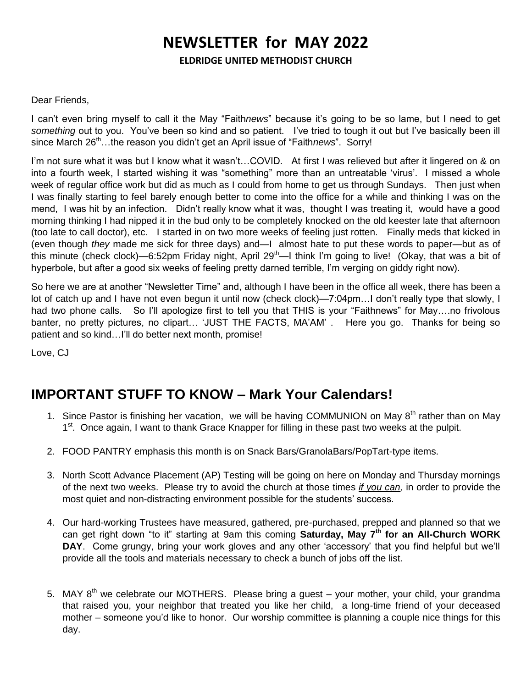# **NEWSLETTER for MAY 2022**

**ELDRIDGE UNITED METHODIST CHURCH**

#### Dear Friends,

I can't even bring myself to call it the May "Faith*news*" because it's going to be so lame, but I need to get *something* out to you. You've been so kind and so patient. I've tried to tough it out but I've basically been ill since March 26<sup>th</sup>…the reason you didn't get an April issue of "Faith*news*". Sorry!

I'm not sure what it was but I know what it wasn't…COVID. At first I was relieved but after it lingered on & on into a fourth week, I started wishing it was "something" more than an untreatable 'virus'. I missed a whole week of regular office work but did as much as I could from home to get us through Sundays. Then just when I was finally starting to feel barely enough better to come into the office for a while and thinking I was on the mend, I was hit by an infection. Didn't really know what it was, thought I was treating it, would have a good morning thinking I had nipped it in the bud only to be completely knocked on the old keester late that afternoon (too late to call doctor), etc. I started in on two more weeks of feeling just rotten. Finally meds that kicked in (even though *they* made me sick for three days) and—I almost hate to put these words to paper—but as of this minute (check clock)—6:52pm Friday night, April  $29<sup>th</sup>$ —I think I'm going to live! (Okay, that was a bit of hyperbole, but after a good six weeks of feeling pretty darned terrible, I'm verging on giddy right now).

So here we are at another "Newsletter Time" and, although I have been in the office all week, there has been a lot of catch up and I have not even begun it until now (check clock)—7:04pm…I don't really type that slowly, I had two phone calls. So I'll apologize first to tell you that THIS is your "Faithnews" for May....no frivolous banter, no pretty pictures, no clipart… 'JUST THE FACTS, MA'AM' . Here you go. Thanks for being so patient and so kind...I'll do better next month, promise!

Love, CJ

## **IMPORTANT STUFF TO KNOW – Mark Your Calendars!**

- 1. Since Pastor is finishing her vacation, we will be having COMMUNION on May 8<sup>th</sup> rather than on May 1<sup>st</sup>. Once again, I want to thank Grace Knapper for filling in these past two weeks at the pulpit.
- 2. FOOD PANTRY emphasis this month is on Snack Bars/GranolaBars/PopTart-type items.
- 3. North Scott Advance Placement (AP) Testing will be going on here on Monday and Thursday mornings of the next two weeks. Please try to avoid the church at those times *if you can,* in order to provide the most quiet and non-distracting environment possible for the students' success.
- 4. Our hard-working Trustees have measured, gathered, pre-purchased, prepped and planned so that we can get right down "to it" starting at 9am this coming **Saturday, May 7th for an All-Church WORK DAY**. Come grungy, bring your work gloves and any other 'accessory' that you find helpful but we'll provide all the tools and materials necessary to check a bunch of jobs off the list.
- 5. MAY 8<sup>th</sup> we celebrate our MOTHERS. Please bring a guest your mother, your child, your grandma that raised you, your neighbor that treated you like her child, a long-time friend of your deceased mother – someone you'd like to honor. Our worship committee is planning a couple nice things for this day.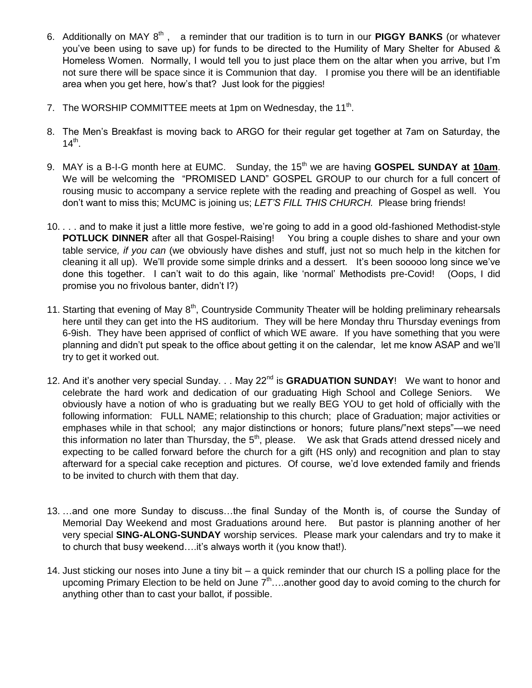- 6. Additionally on MAY 8th , a reminder that our tradition is to turn in our **PIGGY BANKS** (or whatever you've been using to save up) for funds to be directed to the Humility of Mary Shelter for Abused & Homeless Women. Normally, I would tell you to just place them on the altar when you arrive, but I'm not sure there will be space since it is Communion that day. I promise you there will be an identifiable area when you get here, how's that? Just look for the piggies!
- 7. The WORSHIP COMMITTEE meets at 1pm on Wednesday, the 11<sup>th</sup>.
- 8. The Men's Breakfast is moving back to ARGO for their regular get together at 7am on Saturday, the  $14^{th}$ .
- 9. MAY is a B-I-G month here at EUMC. Sunday, the 15<sup>th</sup> we are having **GOSPEL SUNDAY at 10am**. We will be welcoming the "PROMISED LAND" GOSPEL GROUP to our church for a full concert of rousing music to accompany a service replete with the reading and preaching of Gospel as well. You don't want to miss this; McUMC is joining us; *LET'S FILL THIS CHURCH.* Please bring friends!
- 10. . . . and to make it just a little more festive, we're going to add in a good old-fashioned Methodist-style **POTLUCK DINNER** after all that Gospel-Raising! You bring a couple dishes to share and your own table service*, if you can* (we obviously have dishes and stuff, just not so much help in the kitchen for cleaning it all up). We'll provide some simple drinks and a dessert. It's been sooooo long since we've done this together. I can't wait to do this again, like 'normal' Methodists pre-Covid! (Oops, I did promise you no frivolous banter, didn't I?)
- 11. Starting that evening of May  $8<sup>th</sup>$ , Countryside Community Theater will be holding preliminary rehearsals here until they can get into the HS auditorium. They will be here Monday thru Thursday evenings from 6-9ish. They have been apprised of conflict of which WE aware. If you have something that you were planning and didn't put speak to the office about getting it on the calendar, let me know ASAP and we'll try to get it worked out.
- 12. And it's another very special Sunday. . . May 22<sup>nd</sup> is GRADUATION SUNDAY! We want to honor and celebrate the hard work and dedication of our graduating High School and College Seniors. We obviously have a notion of who is graduating but we really BEG YOU to get hold of officially with the following information: FULL NAME; relationship to this church; place of Graduation; major activities or emphases while in that school; any major distinctions or honors; future plans/"next steps"—we need this information no later than Thursday, the  $5<sup>th</sup>$ , please. We ask that Grads attend dressed nicely and expecting to be called forward before the church for a gift (HS only) and recognition and plan to stay afterward for a special cake reception and pictures. Of course, we'd love extended family and friends to be invited to church with them that day.
- 13. …and one more Sunday to discuss…the final Sunday of the Month is, of course the Sunday of Memorial Day Weekend and most Graduations around here. But pastor is planning another of her very special **SING-ALONG-SUNDAY** worship services. Please mark your calendars and try to make it to church that busy weekend….it's always worth it (you know that!).
- 14. Just sticking our noses into June a tiny bit a quick reminder that our church IS a polling place for the upcoming Primary Election to be held on June  $7<sup>th</sup>$ ...another good day to avoid coming to the church for anything other than to cast your ballot, if possible.